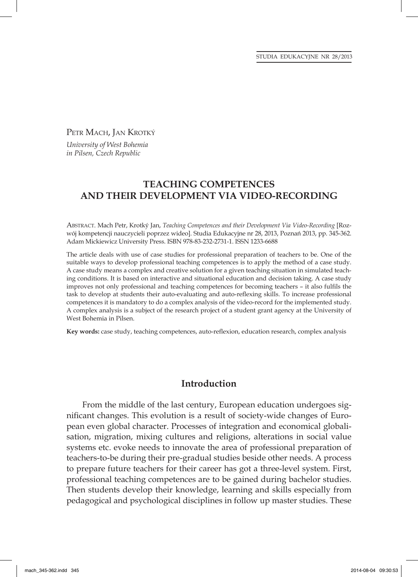PETR MACH, JAN KROTKÝ

*University of West Bohemia in Pilsen, Czech Republic*

# **TEACHING COMPETENCES AND THEIR DEVELOPMENT VIA VIDEO-RECORDING**

ABSTRACT. Mach Petr, Krotký Jan, *Teaching Competences and their Development Via Video-Recording* [Rozwój kompetencji nauczycieli poprzez wideo]. Studia Edukacyjne nr 28, 2013, Poznań 2013, pp. 345-362. Adam Mickiewicz University Press. ISBN 978-83-232-2731-1. ISSN 1233-6688

The article deals with use of case studies for professional preparation of teachers to be. One of the suitable ways to develop professional teaching competences is to apply the method of a case study. A case study means a complex and creative solution for a given teaching situation in simulated teaching conditions. It is based on interactive and situational education and decision taking. A case study improves not only professional and teaching competences for becoming teachers – it also fulfils the task to develop at students their auto-evaluating and auto-reflexing skills. To increase professional competences it is mandatory to do a complex analysis of the video-record for the implemented study. A complex analysis is a subject of the research project of a student grant agency at the University of West Bohemia in Pilsen.

Key words: case study, teaching competences, auto-reflexion, education research, complex analysis

### **Introduction**

From the middle of the last century, European education undergoes significant changes. This evolution is a result of society-wide changes of European even global character. Processes of integration and economical globalisation, migration, mixing cultures and religions, alterations in social value systems etc. evoke needs to innovate the area of professional preparation of teachers-to-be during their pre-gradual studies beside other needs. A process to prepare future teachers for their career has got a three-level system. First, professional teaching competences are to be gained during bachelor studies. Then students develop their knowledge, learning and skills especially from pedagogical and psychological disciplines in follow up master studies. These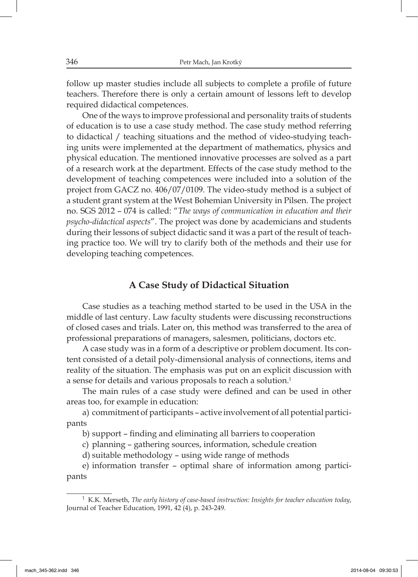follow up master studies include all subjects to complete a profile of future teachers. Therefore there is only a certain amount of lessons left to develop required didactical competences.

One of the ways to improve professional and personality traits of students of education is to use a case study method. The case study method referring to didactical / teaching situations and the method of video-studying teaching units were implemented at the department of mathematics, physics and physical education. The mentioned innovative processes are solved as a part of a research work at the department. Effects of the case study method to the development of teaching competences were included into a solution of the project from GACZ no. 406/07/0109. The video-study method is a subject of a student grant system at the West Bohemian University in Pilsen. The project no. SGS 2012 – 074 is called: "*The ways of communication in education and their psycho-didactical aspects*". The project was done by academicians and students during their lessons of subject didactic sand it was a part of the result of teaching practice too. We will try to clarify both of the methods and their use for developing teaching competences.

#### **A Case Study of Didactical Situation**

Case studies as a teaching method started to be used in the USA in the middle of last century. Law faculty students were discussing reconstructions of closed cases and trials. Later on, this method was transferred to the area of professional preparations of managers, salesmen, politicians, doctors etc.

A case study was in a form of a descriptive or problem document. Its content consisted of a detail poly-dimensional analysis of connections, items and reality of the situation. The emphasis was put on an explicit discussion with a sense for details and various proposals to reach a solution.1

The main rules of a case study were defined and can be used in other areas too, for example in education:

a) commitment of participants – active involvement of all potential participants

b) support – finding and eliminating all barriers to cooperation

c) planning – gathering sources, information, schedule creation

d) suitable methodology – using wide range of methods

e) information transfer – optimal share of information among participants

<sup>1</sup> K.K. Merseth, *The early history of case-based instruction: Insights for teacher education today*, Journal of Teacher Education, 1991, 42 (4), p. 243-249.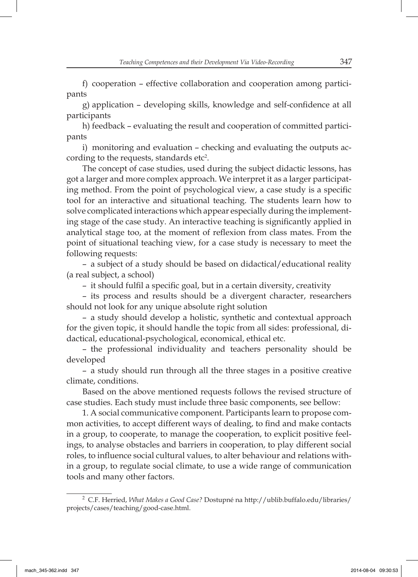f) cooperation – effective collaboration and cooperation among participants

g) application – developing skills, knowledge and self-confidence at all participants

h) feedback – evaluating the result and cooperation of committed participants

i) monitoring and evaluation – checking and evaluating the outputs according to the requests, standards etc<sup>2</sup>.

The concept of case studies, used during the subject didactic lessons, has got a larger and more complex approach. We interpret it as a larger participating method. From the point of psychological view, a case study is a specific tool for an interactive and situational teaching. The students learn how to solve complicated interactions which appear especially during the implementing stage of the case study. An interactive teaching is significantly applied in analytical stage too, at the moment of reflexion from class mates. From the point of situational teaching view, for a case study is necessary to meet the following requests:

– a subject of a study should be based on didactical/educational reality (a real subject, a school)

– it should fulfil a specific goal, but in a certain diversity, creativity

– its process and results should be a divergent character, researchers should not look for any unique absolute right solution

– a study should develop a holistic, synthetic and contextual approach for the given topic, it should handle the topic from all sides: professional, didactical, educational-psychological, economical, ethical etc.

– the professional individuality and teachers personality should be developed

– a study should run through all the three stages in a positive creative climate, conditions.

Based on the above mentioned requests follows the revised structure of case studies. Each study must include three basic components, see bellow:

1. A social communicative component. Participants learn to propose common activities, to accept different ways of dealing, to find and make contacts in a group, to cooperate, to manage the cooperation, to explicit positive feelings, to analyse obstacles and barriers in cooperation, to play different social roles, to influence social cultural values, to alter behaviour and relations within a group, to regulate social climate, to use a wide range of communication tools and many other factors.

<sup>2</sup> C.F. Herried, *What Makes a Good Case?* Dostupné na http://ublib.buffalo.edu/libraries/ projects/cases/teaching/good-case.html.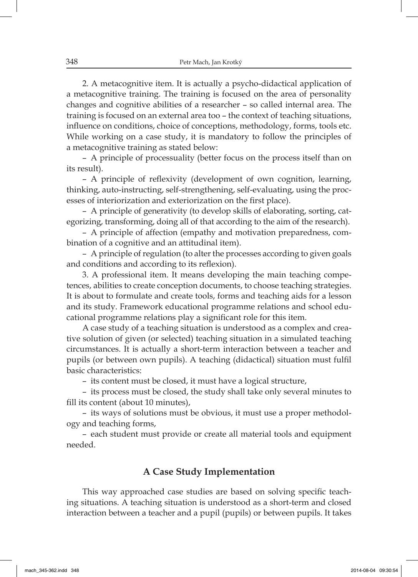2. A metacognitive item. It is actually a psycho-didactical application of a metacognitive training. The training is focused on the area of personality changes and cognitive abilities of a researcher – so called internal area. The training is focused on an external area too – the context of teaching situations, influence on conditions, choice of conceptions, methodology, forms, tools etc. While working on a case study, it is mandatory to follow the principles of a metacognitive training as stated below:

– A principle of processuality (better focus on the process itself than on its result).

– A principle of reflexivity (development of own cognition, learning, thinking, auto-instructing, self-strengthening, self-evaluating, using the processes of interiorization and exteriorization on the first place).

– A principle of generativity (to develop skills of elaborating, sorting, categorizing, transforming, doing all of that according to the aim of the research).

– A principle of affection (empathy and motivation preparedness, combination of a cognitive and an attitudinal item).

– A principle of regulation (to alter the processes according to given goals and conditions and according to its reflexion).

3. A professional item. It means developing the main teaching competences, abilities to create conception documents, to choose teaching strategies. It is about to formulate and create tools, forms and teaching aids for a lesson and its study. Framework educational programme relations and school educational programme relations play a significant role for this item.

A case study of a teaching situation is understood as a complex and creative solution of given (or selected) teaching situation in a simulated teaching circumstances. It is actually a short-term interaction between a teacher and pupils (or between own pupils). A teaching (didactical) situation must fulfil basic characteristics:

– its content must be closed, it must have a logical structure,

– its process must be closed, the study shall take only several minutes to fill its content (about 10 minutes),

– its ways of solutions must be obvious, it must use a proper methodology and teaching forms,

– each student must provide or create all material tools and equipment needed.

# **A Case Study Implementation**

This way approached case studies are based on solving specific teaching situations. A teaching situation is understood as a short-term and closed interaction between a teacher and a pupil (pupils) or between pupils. It takes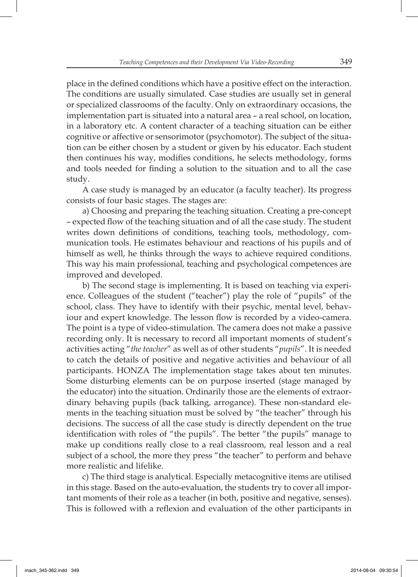place in the defined conditions which have a positive effect on the interaction. The conditions are usually simulated. Case studies are usually set in general or specialized classrooms of the faculty. Only on extraordinary occasions, the implementation part is situated into a natural area – a real school, on location, in a laboratory etc. A content character of a teaching situation can be either cognitive or affective or sensorimotor (psychomotor). The subject of the situation can be either chosen by a student or given by his educator. Each student then continues his way, modifies conditions, he selects methodology, forms and tools needed for finding a solution to the situation and to all the case study.

A case study is managed by an educator (a faculty teacher). Its progress consists of four basic stages. The stages are:

a) Choosing and preparing the teaching situation. Creating a pre-concept – expected flow of the teaching situation and of all the case study. The student writes down definitions of conditions, teaching tools, methodology, communication tools. He estimates behaviour and reactions of his pupils and of himself as well, he thinks through the ways to achieve required conditions. This way his main professional, teaching and psychological competences are improved and developed.

b) The second stage is implementing. It is based on teaching via experience. Colleagues of the student ("teacher") play the role of "pupils" of the school, class. They have to identify with their psychic, mental level, behaviour and expert knowledge. The lesson flow is recorded by a video-camera. The point is a type of video-stimulation. The camera does not make a passive recording only. It is necessary to record all important moments of student's activities acting "*the teacher*" as well as of other students "*pupils*". It is needed to catch the details of positive and negative activities and behaviour of all participants. HONZA The implementation stage takes about ten minutes. Some disturbing elements can be on purpose inserted (stage managed by the educator) into the situation. Ordinarily those are the elements of extraordinary behaving pupils (back talking, arrogance). These non-standard elements in the teaching situation must be solved by "the teacher" through his decisions. The success of all the case study is directly dependent on the true identification with roles of "the pupils". The better "the pupils" manage to make up conditions really close to a real classroom, real lesson and a real subject of a school, the more they press "the teacher" to perform and behave more realistic and lifelike.

c) The third stage is analytical. Especially metacognitive items are utilised in this stage. Based on the auto-evaluation, the students try to cover all important moments of their role as a teacher (in both, positive and negative, senses). This is followed with a reflexion and evaluation of the other participants in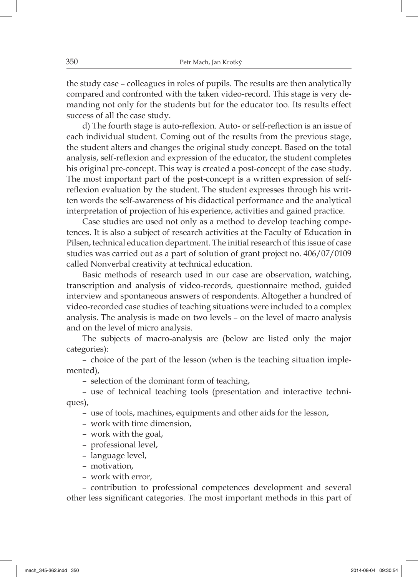the study case – colleagues in roles of pupils. The results are then analytically compared and confronted with the taken video-record. This stage is very demanding not only for the students but for the educator too. Its results effect success of all the case study.

d) The fourth stage is auto-reflexion. Auto- or self-reflection is an issue of each individual student. Coming out of the results from the previous stage, the student alters and changes the original study concept. Based on the total analysis, self-reflexion and expression of the educator, the student completes his original pre-concept. This way is created a post-concept of the case study. The most important part of the post-concept is a written expression of selfreflexion evaluation by the student. The student expresses through his written words the self-awareness of his didactical performance and the analytical interpretation of projection of his experience, activities and gained practice.

Case studies are used not only as a method to develop teaching competences. It is also a subject of research activities at the Faculty of Education in Pilsen, technical education department. The initial research of this issue of case studies was carried out as a part of solution of grant project no. 406/07/0109 called Nonverbal creativity at technical education.

Basic methods of research used in our case are observation, watching, transcription and analysis of video-records, questionnaire method, guided interview and spontaneous answers of respondents. Altogether a hundred of video-recorded case studies of teaching situations were included to a complex analysis. The analysis is made on two levels – on the level of macro analysis and on the level of micro analysis.

The subjects of macro-analysis are (below are listed only the major categories):

– choice of the part of the lesson (when is the teaching situation implemented),

– selection of the dominant form of teaching,

– use of technical teaching tools (presentation and interactive techniques),

- use of tools, machines, equipments and other aids for the lesson,
- work with time dimension,
- work with the goal,
- professional level,
- language level,
- motivation,
- work with error,

– contribution to professional competences development and several other less significant categories. The most important methods in this part of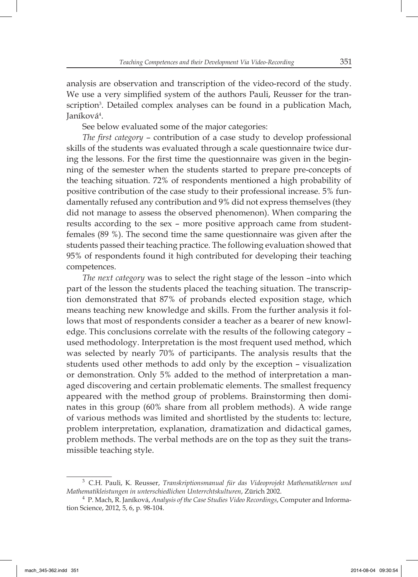analysis are observation and transcription of the video-record of the study. We use a very simplified system of the authors Pauli, Reusser for the transcription<sup>3</sup>. Detailed complex analyses can be found in a publication Mach, Janíková<sup>4</sup>.

See below evaluated some of the major categories:

*The first category* – contribution of a case study to develop professional skills of the students was evaluated through a scale questionnaire twice during the lessons. For the first time the questionnaire was given in the beginning of the semester when the students started to prepare pre-concepts of the teaching situation. 72% of respondents mentioned a high probability of positive contribution of the case study to their professional increase. 5% fundamentally refused any contribution and 9% did not express themselves (they did not manage to assess the observed phenomenon). When comparing the results according to the sex – more positive approach came from studentfemales (89 %). The second time the same questionnaire was given after the students passed their teaching practice. The following evaluation showed that 95% of respondents found it high contributed for developing their teaching competences.

*The next category* was to select the right stage of the lesson –into which part of the lesson the students placed the teaching situation. The transcription demonstrated that 87% of probands elected exposition stage, which means teaching new knowledge and skills. From the further analysis it follows that most of respondents consider a teacher as a bearer of new knowledge. This conclusions correlate with the results of the following category – used methodology. Interpretation is the most frequent used method, which was selected by nearly 70% of participants. The analysis results that the students used other methods to add only by the exception – visualization or demonstration. Only 5% added to the method of interpretation a managed discovering and certain problematic elements. The smallest frequency appeared with the method group of problems. Brainstorming then dominates in this group (60% share from all problem methods). A wide range of various methods was limited and shortlisted by the students to: lecture, problem interpretation, explanation, dramatization and didactical games, problem methods. The verbal methods are on the top as they suit the transmissible teaching style.

<sup>3</sup> C.H. Pauli, K. Reusser, *Transkriptionsmanual für das Videoprojekt Mathematiklernen und Mathematikleistungen in unterschiedlichen Unterrchtskulturen*, Zürich 2002.

<sup>4</sup>P. Mach, R. Janíková, *Analysis of the Case Studies Video Recordings*, Computer and Information Science, 2012, 5, 6, p. 98-104.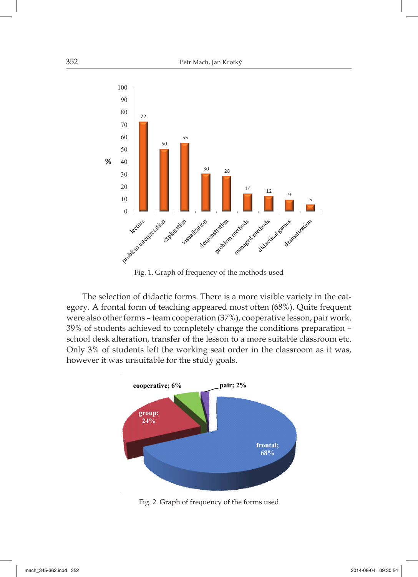

Fig. 1. Graph of frequency of the methods used

The selection of didactic forms. There is a more visible variety in the category. A frontal form of teaching appeared most often (68%). Quite frequent were also other forms – team cooperation (37%), cooperative lesson, pair work. 39% of students achieved to completely change the conditions preparation – school desk alteration, transfer of the lesson to a more suitable classroom etc. Only 3% of students left the working seat order in the classroom as it was, however it was unsuitable for the study goals.



Fig. 2. Graph of frequency of the forms used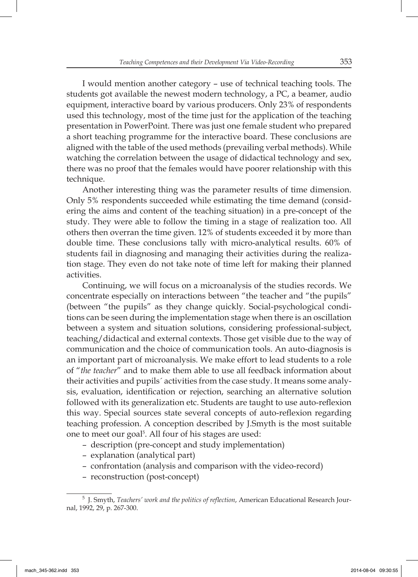I would mention another category – use of technical teaching tools. The students got available the newest modern technology, a PC, a beamer, audio equipment, interactive board by various producers. Only 23% of respondents used this technology, most of the time just for the application of the teaching presentation in PowerPoint. There was just one female student who prepared a short teaching programme for the interactive board. These conclusions are aligned with the table of the used methods (prevailing verbal methods). While watching the correlation between the usage of didactical technology and sex, there was no proof that the females would have poorer relationship with this technique.

Another interesting thing was the parameter results of time dimension. Only 5% respondents succeeded while estimating the time demand (considering the aims and content of the teaching situation) in a pre-concept of the study. They were able to follow the timing in a stage of realization too. All others then overran the time given. 12% of students exceeded it by more than double time. These conclusions tally with micro-analytical results. 60% of students fail in diagnosing and managing their activities during the realization stage. They even do not take note of time left for making their planned activities.

Continuing, we will focus on a microanalysis of the studies records. We concentrate especially on interactions between "the teacher and "the pupils" (between "the pupils" as they change quickly. Social-psychological conditions can be seen during the implementation stage when there is an oscillation between a system and situation solutions, considering professional-subject, teaching/didactical and external contexts. Those get visible due to the way of communication and the choice of communication tools. An auto-diagnosis is an important part of microanalysis. We make effort to lead students to a role of "*the teacher*" and to make them able to use all feedback information about their activities and pupils´ activities from the case study. It means some analysis, evaluation, identification or rejection, searching an alternative solution followed with its generalization etc. Students are taught to use auto-reflexion this way. Special sources state several concepts of auto-reflexion regarding teaching profession. A conception described by J.Smyth is the most suitable one to meet our goal<sup>5</sup>. All four of his stages are used:

- description (pre-concept and study implementation)
- explanation (analytical part)
- confrontation (analysis and comparison with the video-record)
- reconstruction (post-concept)

<sup>&</sup>lt;sup>5</sup> J. Smyth, *Teachers' work and the politics of reflection*, American Educational Research Journal, 1992, 29, p. 267-300.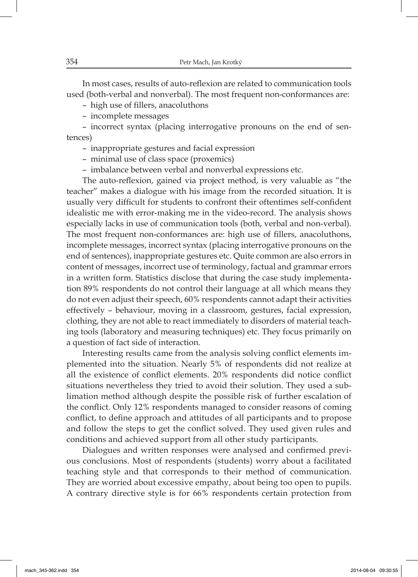In most cases, results of auto-reflexion are related to communication tools used (both-verbal and nonverbal). The most frequent non-conformances are:

- high use of fillers, anacoluthons
- incomplete messages

– incorrect syntax (placing interrogative pronouns on the end of sentences)

- inappropriate gestures and facial expression
- minimal use of class space (proxemics)
- imbalance between verbal and nonverbal expressions etc.

The auto-reflexion, gained via project method, is very valuable as "the teacher" makes a dialogue with his image from the recorded situation. It is usually very difficult for students to confront their oftentimes self-confident idealistic me with error-making me in the video-record. The analysis shows especially lacks in use of communication tools (both, verbal and non-verbal). The most frequent non-conformances are: high use of fillers, anacoluthons, incomplete messages, incorrect syntax (placing interrogative pronouns on the end of sentences), inappropriate gestures etc. Quite common are also errors in content of messages, incorrect use of terminology, factual and grammar errors in a written form. Statistics disclose that during the case study implementation 89% respondents do not control their language at all which means they do not even adjust their speech, 60% respondents cannot adapt their activities effectively – behaviour, moving in a classroom, gestures, facial expression, clothing, they are not able to react immediately to disorders of material teaching tools (laboratory and measuring techniques) etc. They focus primarily on a question of fact side of interaction.

Interesting results came from the analysis solving conflict elements implemented into the situation. Nearly 5% of respondents did not realize at all the existence of conflict elements. 20% respondents did notice conflict situations nevertheless they tried to avoid their solution. They used a sublimation method although despite the possible risk of further escalation of the conflict. Only 12% respondents managed to consider reasons of coming conflict, to define approach and attitudes of all participants and to propose and follow the steps to get the conflict solved. They used given rules and conditions and achieved support from all other study participants.

Dialogues and written responses were analysed and confirmed previous conclusions. Most of respondents (students) worry about a facilitated teaching style and that corresponds to their method of communication. They are worried about excessive empathy, about being too open to pupils. A contrary directive style is for 66% respondents certain protection from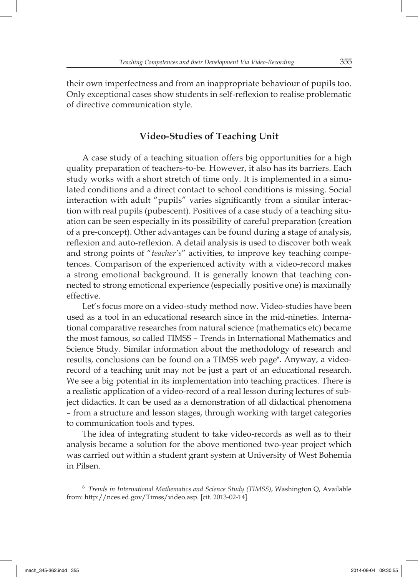their own imperfectness and from an inappropriate behaviour of pupils too. Only exceptional cases show students in self-reflexion to realise problematic of directive communication style.

# **Video-Studies of Teaching Unit**

A case study of a teaching situation offers big opportunities for a high quality preparation of teachers-to-be. However, it also has its barriers. Each study works with a short stretch of time only. It is implemented in a simulated conditions and a direct contact to school conditions is missing. Social interaction with adult "pupils" varies significantly from a similar interaction with real pupils (pubescent). Positives of a case study of a teaching situation can be seen especially in its possibility of careful preparation (creation of a pre-concept). Other advantages can be found during a stage of analysis, reflexion and auto-reflexion. A detail analysis is used to discover both weak and strong points of "*teacher's*" activities, to improve key teaching competences. Comparison of the experienced activity with a video-record makes a strong emotional background. It is generally known that teaching connected to strong emotional experience (especially positive one) is maximally effective.

Let's focus more on a video-study method now. Video-studies have been used as a tool in an educational research since in the mid-nineties. International comparative researches from natural science (mathematics etc) became the most famous, so called TIMSS – Trends in International Mathematics and Science Study. Similar information about the methodology of research and results, conclusions can be found on a TIMSS web page<sup>6</sup>. Anyway, a videorecord of a teaching unit may not be just a part of an educational research. We see a big potential in its implementation into teaching practices. There is a realistic application of a video-record of a real lesson during lectures of subject didactics. It can be used as a demonstration of all didactical phenomena – from a structure and lesson stages, through working with target categories to communication tools and types.

The idea of integrating student to take video-records as well as to their analysis became a solution for the above mentioned two-year project which was carried out within a student grant system at University of West Bohemia in Pilsen.

<sup>6</sup>*Trends in International Mathematics and Science Study (TIMSS)*, Washington Q, Available from: http://nces.ed.gov/Timss/video.asp. [cit. 2013-02-14].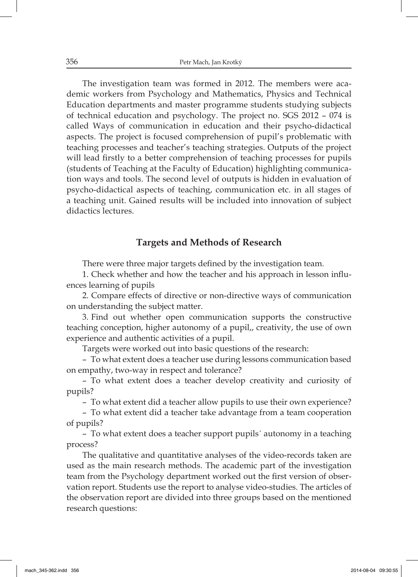The investigation team was formed in 2012. The members were academic workers from Psychology and Mathematics, Physics and Technical Education departments and master programme students studying subjects of technical education and psychology. The project no. SGS 2012 – 074 is called Ways of communication in education and their psycho-didactical aspects. The project is focused comprehension of pupil's problematic with teaching processes and teacher's teaching strategies. Outputs of the project will lead firstly to a better comprehension of teaching processes for pupils (students of Teaching at the Faculty of Education) highlighting communication ways and tools. The second level of outputs is hidden in evaluation of psycho-didactical aspects of teaching, communication etc. in all stages of a teaching unit. Gained results will be included into innovation of subject didactics lectures.

# **Targets and Methods of Research**

There were three major targets defined by the investigation team.

1. Check whether and how the teacher and his approach in lesson influences learning of pupils

2. Compare effects of directive or non-directive ways of communication on understanding the subject matter.

3. Find out whether open communication supports the constructive teaching conception, higher autonomy of a pupil,, creativity, the use of own experience and authentic activities of a pupil.

Targets were worked out into basic questions of the research:

– To what extent does a teacher use during lessons communication based on empathy, two-way in respect and tolerance?

– To what extent does a teacher develop creativity and curiosity of pupils?

– To what extent did a teacher allow pupils to use their own experience?

– To what extent did a teacher take advantage from a team cooperation of pupils?

– To what extent does a teacher support pupils´ autonomy in a teaching process?

The qualitative and quantitative analyses of the video-records taken are used as the main research methods. The academic part of the investigation team from the Psychology department worked out the first version of observation report. Students use the report to analyse video-studies. The articles of the observation report are divided into three groups based on the mentioned research questions: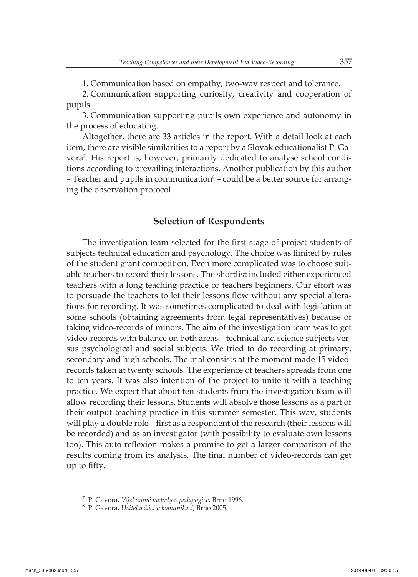1. Communication based on empathy, two-way respect and tolerance.

2. Communication supporting curiosity, creativity and cooperation of pupils.

3. Communication supporting pupils own experience and autonomy in the process of educating.

Altogether, there are 33 articles in the report. With a detail look at each item, there are visible similarities to a report by a Slovak educationalist P. Gavora7 . His report is, however, primarily dedicated to analyse school conditions according to prevailing interactions. Another publication by this author – Teacher and pupils in communication $^{\circ}$  – could be a better source for arranging the observation protocol.

### **Selection of Respondents**

The investigation team selected for the first stage of project students of subjects technical education and psychology. The choice was limited by rules of the student grant competition. Even more complicated was to choose suitable teachers to record their lessons. The shortlist included either experienced teachers with a long teaching practice or teachers beginners. Our effort was to persuade the teachers to let their lessons flow without any special alterations for recording. It was sometimes complicated to deal with legislation at some schools (obtaining agreements from legal representatives) because of taking video-records of minors. The aim of the investigation team was to get video-records with balance on both areas – technical and science subjects versus psychological and social subjects. We tried to do recording at primary, secondary and high schools. The trial consists at the moment made 15 videorecords taken at twenty schools. The experience of teachers spreads from one to ten years. It was also intention of the project to unite it with a teaching practice. We expect that about ten students from the investigation team will allow recording their lessons. Students will absolve those lessons as a part of their output teaching practice in this summer semester. This way, students will play a double role – first as a respondent of the research (their lessons will be recorded) and as an investigator (with possibility to evaluate own lessons too). This auto-reflexion makes a promise to get a larger comparison of the results coming from its analysis. The final number of video-records can get up to fifty.

<sup>7</sup> P. Gavora, *Výzkumné metody v pedagogice*, Brno 1996.

<sup>8</sup> P. Gavora, *Učitel a žáci v komunikaci*, Brno 2005.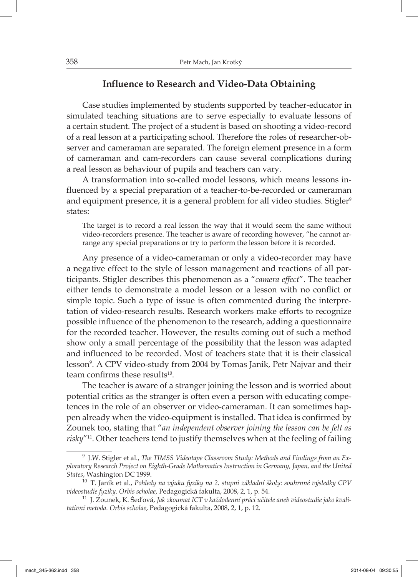# **Influence to Research and Video-Data Obtaining**

Case studies implemented by students supported by teacher-educator in simulated teaching situations are to serve especially to evaluate lessons of a certain student. The project of a student is based on shooting a video-record of a real lesson at a participating school. Therefore the roles of researcher-observer and cameraman are separated. The foreign element presence in a form of cameraman and cam-recorders can cause several complications during a real lesson as behaviour of pupils and teachers can vary.

A transformation into so-called model lessons, which means lessons influenced by a special preparation of a teacher-to-be-recorded or cameraman and equipment presence, it is a general problem for all video studies. Stigler<sup>9</sup> states:

The target is to record a real lesson the way that it would seem the same without video-recorders presence. The teacher is aware of recording however, "he cannot arrange any special preparations or try to perform the lesson before it is recorded.

Any presence of a video-cameraman or only a video-recorder may have a negative effect to the style of lesson management and reactions of all participants. Stigler describes this phenomenon as a "*camera effect*". The teacher either tends to demonstrate a model lesson or a lesson with no conflict or simple topic. Such a type of issue is often commented during the interpretation of video-research results. Research workers make efforts to recognize possible influence of the phenomenon to the research, adding a questionnaire for the recorded teacher. However, the results coming out of such a method show only a small percentage of the possibility that the lesson was adapted and influenced to be recorded. Most of teachers state that it is their classical lesson9 . A CPV video-study from 2004 by Tomas Janik, Petr Najvar and their team confirms these results $10$ .

The teacher is aware of a stranger joining the lesson and is worried about potential critics as the stranger is often even a person with educating competences in the role of an observer or video-cameraman. It can sometimes happen already when the video-equipment is installed. That idea is confirmed by Zounek too, stating that "*an independent observer joining the lesson can be felt as risky*"11. Other teachers tend to justify themselves when at the feeling of failing

<sup>9</sup> J.W. Stigler et al., *The TIMSS Videotape Classroom Study: Methods and Findings from an Exploratory Research Project on Eighth-Grade Mathematics Instruction in Germany, Japan, and the United States*, Washington DC 1999.

<sup>10</sup> T. Janík et al., *Pohledy na výuku fyziky na 2. stupni základní školy: souhrnné výsledky CPV videostudie fyziky. Orbis scholae*, Pedagogická fakulta, 2008, 2, 1, p. 54.

<sup>&</sup>lt;sup>11</sup> J. Zounek, K. Šeďová, Jak zkoumat ICT v každodenní práci učitele aneb videostudie jako kvali*tativní metoda. Orbis scholae*, Pedagogická fakulta, 2008, 2, 1, p. 12.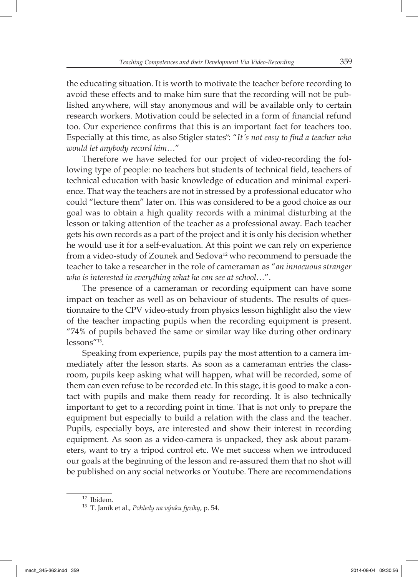the educating situation. It is worth to motivate the teacher before recording to avoid these effects and to make him sure that the recording will not be published anywhere, will stay anonymous and will be available only to certain research workers. Motivation could be selected in a form of financial refund too. Our experience confirms that this is an important fact for teachers too. Especially at this time, as also Stigler states9 : "*It´s not easy to fi nd a teacher who would let anybody record him…*"

Therefore we have selected for our project of video-recording the following type of people: no teachers but students of technical field, teachers of technical education with basic knowledge of education and minimal experience. That way the teachers are not in stressed by a professional educator who could "lecture them" later on. This was considered to be a good choice as our goal was to obtain a high quality records with a minimal disturbing at the lesson or taking attention of the teacher as a professional away. Each teacher gets his own records as a part of the project and it is only his decision whether he would use it for a self-evaluation. At this point we can rely on experience from a video-study of Zounek and Sedova<sup>12</sup> who recommend to persuade the teacher to take a researcher in the role of cameraman as "*an innocuous stranger who is interested in everything what he can see at school…*".

The presence of a cameraman or recording equipment can have some impact on teacher as well as on behaviour of students. The results of questionnaire to the CPV video-study from physics lesson highlight also the view of the teacher impacting pupils when the recording equipment is present. "74% of pupils behaved the same or similar way like during other ordinary lessons"13.

Speaking from experience, pupils pay the most attention to a camera immediately after the lesson starts. As soon as a cameraman entries the classroom, pupils keep asking what will happen, what will be recorded, some of them can even refuse to be recorded etc. In this stage, it is good to make a contact with pupils and make them ready for recording. It is also technically important to get to a recording point in time. That is not only to prepare the equipment but especially to build a relation with the class and the teacher. Pupils, especially boys, are interested and show their interest in recording equipment. As soon as a video-camera is unpacked, they ask about parameters, want to try a tripod control etc. We met success when we introduced our goals at the beginning of the lesson and re-assured them that no shot will be published on any social networks or Youtube. There are recommendations

<sup>12</sup> Ibidem.

<sup>13</sup> T. Janík et al., *Pohledy na výuku fyziky*, p. 54.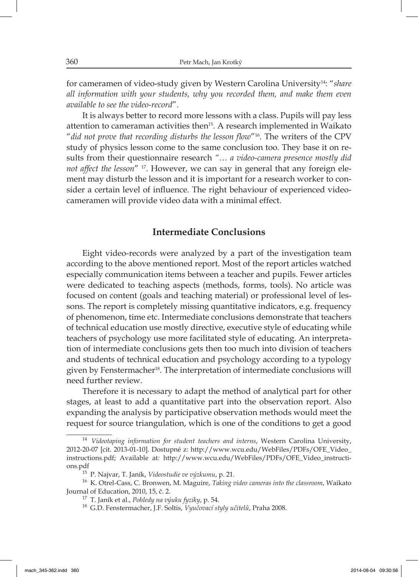for cameramen of video-study given by Western Carolina University14: "*share all information with your students, why you recorded them, and make them even available to see the video-record*".

It is always better to record more lessons with a class. Pupils will pay less attention to cameraman activities then15. A research implemented in Waikato "did not prove that recording disturbs the lesson flow"<sup>16</sup>. The writers of the CPV study of physics lesson come to the same conclusion too. They base it on results from their questionnaire research *"… a video-camera presence mostly did not affect the lesson*" 17. However, we can say in general that any foreign element may disturb the lesson and it is important for a research worker to consider a certain level of influence. The right behaviour of experienced videocameramen will provide video data with a minimal effect.

# **Intermediate Conclusions**

Eight video-records were analyzed by a part of the investigation team according to the above mentioned report. Most of the report articles watched especially communication items between a teacher and pupils. Fewer articles were dedicated to teaching aspects (methods, forms, tools). No article was focused on content (goals and teaching material) or professional level of lessons. The report is completely missing quantitative indicators, e.g. frequency of phenomenon, time etc. Intermediate conclusions demonstrate that teachers of technical education use mostly directive, executive style of educating while teachers of psychology use more facilitated style of educating. An interpretation of intermediate conclusions gets then too much into division of teachers and students of technical education and psychology according to a typology given by Fenstermacher<sup>18</sup>. The interpretation of intermediate conclusions will need further review.

Therefore it is necessary to adapt the method of analytical part for other stages, at least to add a quantitative part into the observation report. Also expanding the analysis by participative observation methods would meet the request for source triangulation, which is one of the conditions to get a good

<sup>14</sup>*Videotaping information for student teachers and interns*, Western Carolina University, 2012-20-07 [cit. 2013-01-10]. Dostupné z: http://www.wcu.edu/WebFiles/PDFs/OFE\_Video\_ instructions.pdf; Available at*:* http://www.wcu.edu/WebFiles/PDFs/OFE\_Video\_instructions.pdf

<sup>15</sup>P. Najvar, T. Janík, *Videostudie ve výzkumu*, p. 21.

<sup>&</sup>lt;sup>16</sup> K. Otrel-Cass, C. Bronwen, M. Maguire, *Taking video cameras into the classroom*, Waikato Journal of Education, 2010, 15, č. 2.

<sup>17</sup> T. Janík et al., *Pohledy na výuku fyziky*, p. 54.

<sup>18</sup> G.D. Fenstermacher, J.F. Soltis, *Vyučovací styly učitelů*, Praha 2008.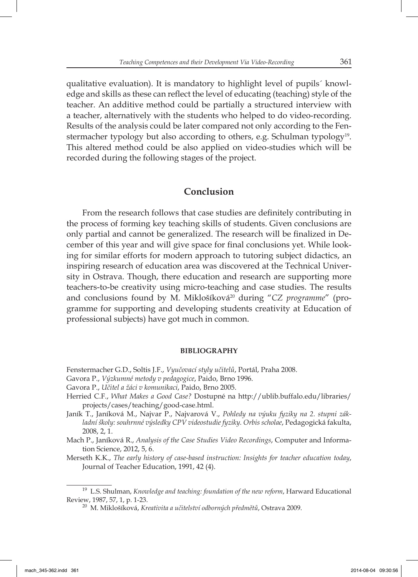qualitative evaluation). It is mandatory to highlight level of pupils´ knowledge and skills as these can reflect the level of educating (teaching) style of the teacher. An additive method could be partially a structured interview with a teacher, alternatively with the students who helped to do video-recording. Results of the analysis could be later compared not only according to the Fenstermacher typology but also according to others, e.g. Schulman typology19. This altered method could be also applied on video-studies which will be recorded during the following stages of the project.

#### **Conclusion**

From the research follows that case studies are definitely contributing in the process of forming key teaching skills of students. Given conclusions are only partial and cannot be generalized. The research will be finalized in December of this year and will give space for final conclusions yet. While looking for similar efforts for modern approach to tutoring subject didactics, an inspiring research of education area was discovered at the Technical University in Ostrava. Though, there education and research are supporting more teachers-to-be creativity using micro-teaching and case studies. The results and conclusions found by M. Miklošíková<sup>20</sup> during "*CZ programme*" (programme for supporting and developing students creativity at Education of professional subjects) have got much in common.

#### **BIBLIOGRAPHY**

Fenstermacher G.D., Soltis J.F., *Vyučovací styly učitelů*, Portál, Praha 2008.

- Gavora P., *Výzkumné metody v pedagogice*, Paido, Brno 1996.
- Gavora P., *Učitel a žáci v komunikaci*, Paido, Brno 2005.
- Herried C.F., *What Makes a Good Case?* Dostupné na http://ublib.buffalo.edu/libraries/ projects/cases/teaching/good-case.html.
- Janík T., Janíková M., Najvar P., Najvarová V., *Pohledy na výuku fyziky na 2. stupni základní školy: souhrnné výsledky CPV videostudie fyziky. Orbis scholae*, Pedagogická fakulta, 2008, 2, 1.
- Mach P., Janíková R., *Analysis of the Case Studies Video Recordings*, Computer and Information Science, 2012, 5, 6.

Merseth K.K., *The early history of case-based instruction: Insights for teacher education today*, Journal of Teacher Education, 1991, 42 (4).

<sup>19</sup> L.S. Shulman, *Knowledge and teaching: foundation of the new reform*, Harward Educational Review, 1987, 57, 1, p. 1-23.

<sup>20</sup> M. Miklošíková, *Kreativita a učitelství odborných předmětů*, Ostrava 2009.